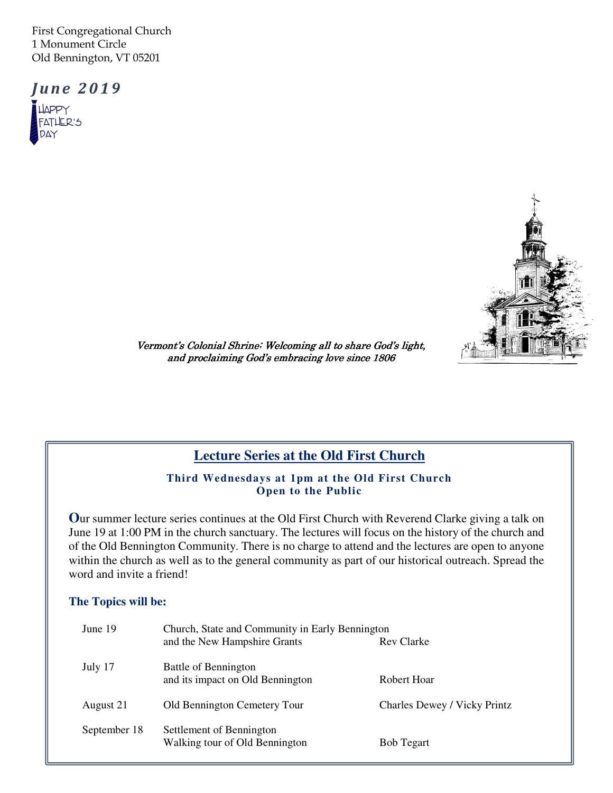First Congregational Church 1 Monument Circle Old Bennington, VT 05201

**June 2019 JAPPY** FATHER'S DAY



Vermont's Colonial Shrine: Welcoming all to share God's light, and proclaiming God's embracing love since 1806

# **Lecture Series at the Old First Church**

#### **Third Wednesdays at 1pm at the Old First Church Open to the Public**

**O**ur summer lecture series continues at the Old First Church with Reverend Clarke giving a talk on June 19 at 1:00 PM in the church sanctuary. The lectures will focus on the history of the church and of the Old Bennington Community. There is no charge to attend and the lectures are open to anyone within the church as well as to the general community as part of our historical outreach. Spread the word and invite a friend!

#### **The Topics will be:**

| June 19      | Church, State and Community in Early Bennington            |                                     |  |  |  |  |
|--------------|------------------------------------------------------------|-------------------------------------|--|--|--|--|
|              | and the New Hampshire Grants                               | Rev Clarke                          |  |  |  |  |
| July 17      | Battle of Bennington<br>and its impact on Old Bennington   | Robert Hoar                         |  |  |  |  |
| August 21    | Old Bennington Cemetery Tour                               | <b>Charles Dewey / Vicky Printz</b> |  |  |  |  |
| September 18 | Settlement of Bennington<br>Walking tour of Old Bennington | <b>Bob Tegart</b>                   |  |  |  |  |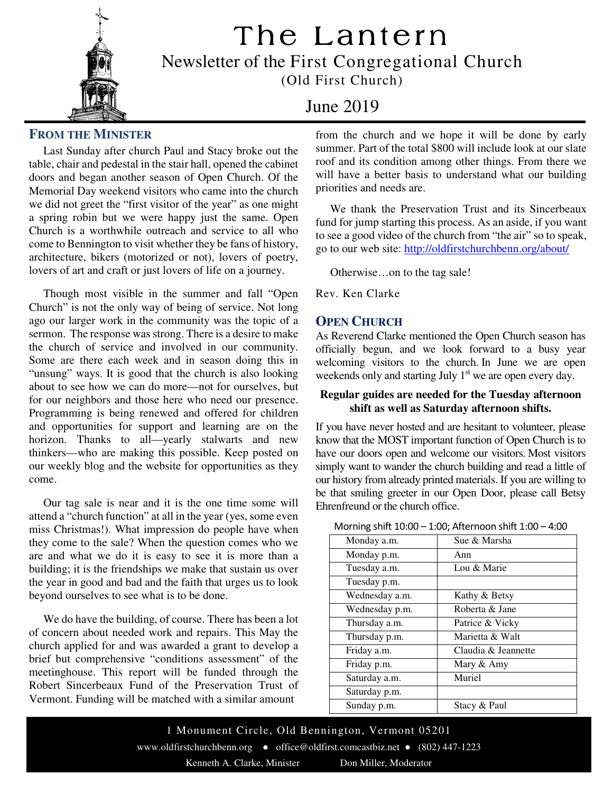# The Lantern



Newsletter of the First Congregational Church (Old First Church)

# June 2019

# **FROM THE MINISTER**

 Last Sunday after church Paul and Stacy broke out the table, chair and pedestal in the stair hall, opened the cabinet doors and began another season of Open Church. Of the Memorial Day weekend visitors who came into the church we did not greet the "first visitor of the year" as one might a spring robin but we were happy just the same. Open Church is a worthwhile outreach and service to all who come to Bennington to visit whether they be fans of history, architecture, bikers (motorized or not), lovers of poetry, lovers of art and craft or just lovers of life on a journey.

 Though most visible in the summer and fall "Open Church" is not the only way of being of service. Not long ago our larger work in the community was the topic of a sermon. The response was strong. There is a desire to make the church of service and involved in our community. Some are there each week and in season doing this in "unsung" ways. It is good that the church is also looking about to see how we can do more—not for ourselves, but for our neighbors and those here who need our presence. Programming is being renewed and offered for children and opportunities for support and learning are on the horizon. Thanks to all—yearly stalwarts and new thinkers—who are making this possible. Keep posted on our weekly blog and the website for opportunities as they come.

 Our tag sale is near and it is the one time some will attend a "church function" at all in the year (yes, some even miss Christmas!). What impression do people have when they come to the sale? When the question comes who we are and what we do it is easy to see it is more than a building; it is the friendships we make that sustain us over the year in good and bad and the faith that urges us to look beyond ourselves to see what is to be done.

 We do have the building, of course. There has been a lot of concern about needed work and repairs. This May the church applied for and was awarded a grant to develop a brief but comprehensive "conditions assessment" of the meetinghouse. This report will be funded through the Robert Sincerbeaux Fund of the Preservation Trust of Vermont. Funding will be matched with a similar amount

from the church and we hope it will be done by early summer. Part of the total \$800 will include look at our slate roof and its condition among other things. From there we will have a better basis to understand what our building priorities and needs are.

 We thank the Preservation Trust and its Sincerbeaux fund for jump starting this process. As an aside, if you want to see a good video of the church from "the air" so to speak, go to our web site: http://oldfirstchurchbenn.org/about/ Ī

Otherwise…on to the tag sale!

Rev. Ken Clarke

# **OPEN CHURCH**

As Reverend Clarke mentioned the Open Church season has officially begun, and we look forward to a busy year welcoming visitors to the church. In June we are open weekends only and starting July 1<sup>st</sup> we are open every day.

#### **Regular guides are needed for the Tuesday afternoon shift as well as Saturday afternoon shifts.**

If you have never hosted and are hesitant to volunteer, please know that the MOST important function of Open Church is to have our doors open and welcome our visitors. Most visitors simply want to wander the church building and read a little of our history from already printed materials. If you are willing to be that smiling greeter in our Open Door, please call Betsy Ehrenfreund or the church office.

| Monday a.m.    | Sue & Marsha        |  |  |
|----------------|---------------------|--|--|
| Monday p.m.    | Ann                 |  |  |
| Tuesday a.m.   | Lou & Marie         |  |  |
| Tuesday p.m.   |                     |  |  |
| Wednesday a.m. | Kathy & Betsy       |  |  |
| Wednesday p.m. | Roberta & Jane      |  |  |
| Thursday a.m.  | Patrice & Vicky     |  |  |
| Thursday p.m.  | Marietta & Walt     |  |  |
| Friday a.m.    | Claudia & Jeannette |  |  |
| Friday p.m.    | Mary & Amy          |  |  |
| Saturday a.m.  | Muriel              |  |  |
| Saturday p.m.  |                     |  |  |
| Sunday p.m.    | Stacy & Paul        |  |  |

Morning shift 10:00 – 1:00; Afternoon shift 1:00 – 4:00

1 Monument Circle, Old Bennington, Vermont 05201 www.oldfirstchurchbenn.org ● office@oldfirst.comcastbiz.net ● (802) 447-1223 Kenneth A. Clarke, Minister Don Miller, Moderator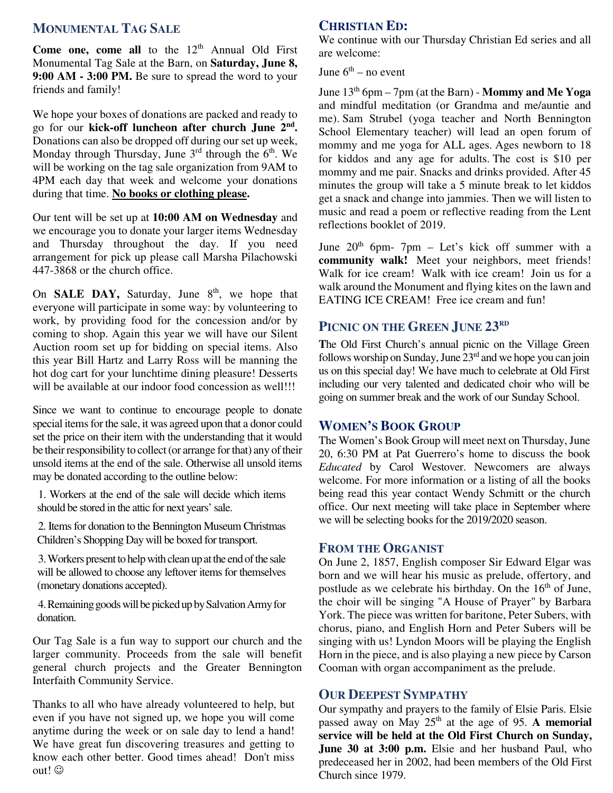## **MONUMENTAL TAG SALE**

 Monumental Tag Sale at the Barn, on **Saturday, June 8, Come one, come all** to the  $12<sup>th</sup>$  Annual Old First **9:00 AM - 3:00 PM.** Be sure to spread the word to your friends and family!

We hope your boxes of donations are packed and ready to go for our **kick-off luncheon after church June 2nd .**  Donations can also be dropped off during our set up week, Monday through Thursday, June  $3<sup>rd</sup>$  through the  $6<sup>th</sup>$ . We will be working on the tag sale organization from 9AM to 4PM each day that week and welcome your donations during that time. **No books or clothing please.**

Our tent will be set up at **10:00 AM on Wednesday** and we encourage you to donate your larger items Wednesday and Thursday throughout the day. If you need arrangement for pick up please call Marsha Pilachowski 447-3868 or the church office.

On **SALE DAY**, Saturday, June 8<sup>th</sup>, we hope that everyone will participate in some way: by volunteering to work, by providing food for the concession and/or by coming to shop. Again this year we will have our Silent Auction room set up for bidding on special items. Also this year Bill Hartz and Larry Ross will be manning the hot dog cart for your lunchtime dining pleasure! Desserts will be available at our indoor food concession as well!!!

 unsold items at the end of the sale. Otherwise all unsold items may be donated according to the outline below: Since we want to continue to encourage people to donate special items for the sale, it was agreed upon that a donor could set the price on their item with the understanding that it would be their responsibility to collect (or arrange for that) any of their

1. Workers at the end of the sale will decide which items should be stored in the attic for next years' sale.

2. Items for donation to the Bennington Museum Christmas Children's Shopping Day will be boxed for transport.

3. Workers present to help with clean up at the end of the sale will be allowed to choose any leftover items for themselves (monetary donations accepted).

4. Remaining goods will be picked up by Salvation Army for donation.

Our Tag Sale is a fun way to support our church and the larger community. Proceeds from the sale will benefit general church projects and the Greater Bennington Interfaith Community Service.

Thanks to all who have already volunteered to help, but even if you have not signed up, we hope you will come anytime during the week or on sale day to lend a hand! We have great fun discovering treasures and getting to know each other better. Good times ahead! Don't miss out! ©

# **CHRISTIAN ED:**

We continue with our Thursday Christian Ed series and all are welcome:

June  $6<sup>th</sup>$  – no event

June 13th 6pm – 7pm (at the Barn) - **Mommy and Me Yoga** and mindful meditation (or Grandma and me/auntie and me). Sam Strubel (yoga teacher and North Bennington School Elementary teacher) will lead an open forum of mommy and me yoga for ALL ages. Ages newborn to 18 for kiddos and any age for adults. The cost is \$10 per mommy and me pair. Snacks and drinks provided. After 45 minutes the group will take a 5 minute break to let kiddos get a snack and change into jammies. Then we will listen to music and read a poem or reflective reading from the Lent reflections booklet of 2019.

June  $20<sup>th</sup>$  6pm- 7pm – Let's kick off summer with a **community walk!** Meet your neighbors, meet friends! Walk for ice cream! Walk with ice cream! Join us for a walk around the Monument and flying kites on the lawn and EATING ICE CREAM! Free ice cream and fun!

# **PICNIC ON THE GREEN JUNE 23RD**

**T**he Old First Church's annual picnic on the Village Green follows worship on Sunday, June  $23<sup>rd</sup>$  and we hope you can join us on this special day! We have much to celebrate at Old First including our very talented and dedicated choir who will be going on summer break and the work of our Sunday School.

# **WOMEN'S BOOK GROUP**

The Women's Book Group will meet next on Thursday, June 20, 6:30 PM at Pat Guerrero's home to discuss the book *Educated* by Carol Westover. Newcomers are always welcome. For more information or a listing of all the books being read this year contact Wendy Schmitt or the church office. Our next meeting will take place in September where we will be selecting books for the 2019/2020 season.

### **FROM THE ORGANIST**

On June 2, 1857, English composer Sir Edward Elgar was born and we will hear his music as prelude, offertory, and postlude as we celebrate his birthday. On the  $16<sup>th</sup>$  of June, the choir will be singing "A House of Prayer" by Barbara York. The piece was written for baritone, Peter Subers, with chorus, piano, and English Horn and Peter Subers will be singing with us! Lyndon Moors will be playing the English Horn in the piece, and is also playing a new piece by Carson Cooman with organ accompaniment as the prelude.

# **OUR DEEPEST SYMPATHY**

Our sympathy and prayers to the family of Elsie Paris. Elsie passed away on May 25<sup>th</sup> at the age of 95. A memorial **service will be held at the Old First Church on Sunday, June 30 at 3:00 p.m.** Elsie and her husband Paul, who predeceased her in 2002, had been members of the Old First Church since 1979.